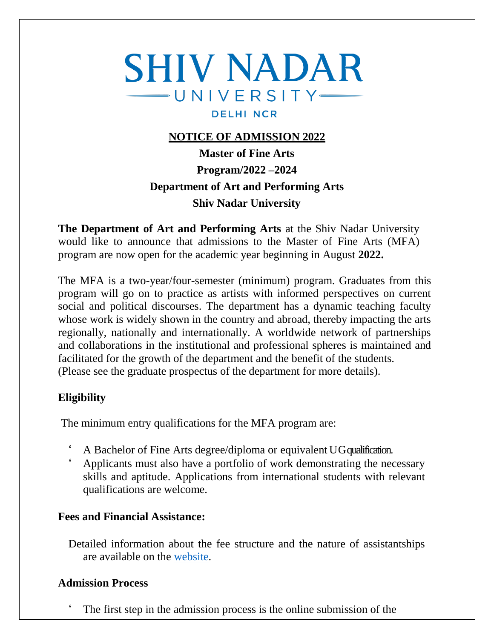# **SHIV NADAR**  $-$  UNIVERSITY $-$ **DELHI NCR**

## **NOTICE OF ADMISSION 2022**

**Master of Fine Arts Program/2022 –2024 Department of Art and Performing Arts Shiv Nadar University**

**The Department of Art and Performing Arts** at the Shiv Nadar University would like to announce that admissions to the Master of Fine Arts (MFA) program are now open for the academic year beginning in August **2022.**

The MFA is a two-year/four-semester (minimum) program. Graduates from this program will go on to practice as artists with informed perspectives on current social and political discourses. The department has a dynamic teaching faculty whose work is widely shown in the country and abroad, thereby impacting the arts regionally, nationally and internationally. A worldwide network of partnerships and collaborations in the institutional and professional spheres is maintained and facilitated for the growth of the department and the benefit of the students. (Please see the graduate prospectus of the department for more details).

## **Eligibility**

The minimum entry qualifications for the MFA program are:

- ' A Bachelor of Fine Arts degree/diploma or equivalent UG qualification.
- ' Applicants must also have a portfolio of work demonstrating the necessary skills and aptitude. Applications from international students with relevant qualifications are welcome.

## **Fees and Financial Assistance:**

Detailed information about the fee structure and the nature of assistantships are available on the [website.](https://snu.edu.in/sites/default/files/MA-Fee-structure.pdf)

## **Admission Process**

The first step in the admission process is the online submission of the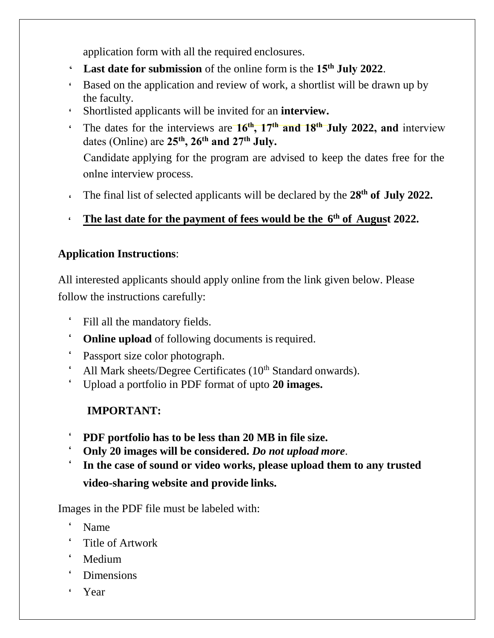application form with all the required enclosures.

- ' **Last date for submission** of the online form is the **15th July 2022**.
- ' Based on the application and review of work, a shortlist will be drawn up by the faculty.
- ' Shortlisted applicants will be invited for an **interview.**
- ' The dates for the interviews are **16th , 17th and 18th July 2022, and** interview dates (Online) are **25th, 26th and 27th July.**

onlne interview process. Candidate applying for the program are advised to keep the dates free for the

- ' The final list of selected applicants will be declared by the **28 th of July 2022.**
- $\epsilon$ **The last date for the payment of fees would be the 6 th of August 2022.**

# **Application Instructions**:

All interested applicants should apply online from the link given below. Please follow the instructions carefully:

- ' Fill all the mandatory fields.
- ' **Online upload** of following documents is required.
- Passport size color photograph.
- All Mark sheets/Degree Certificates  $(10<sup>th</sup> Standard onwards)$ .
- ' Upload a portfolio in PDF format of upto **20 images.**

# **IMPORTANT:**

- ' **PDF portfolio has to be less than 20 MB in file size.**
- ' **Only 20 images will be considered.** *Do not upload more*.
- ' **In the case of sound or video works, please upload them to any trusted video-sharing website and provide links.**

Images in the PDF file must be labeled with:

- ' Name
- ' Title of Artwork
- ' Medium
- ' Dimensions
- ' Year